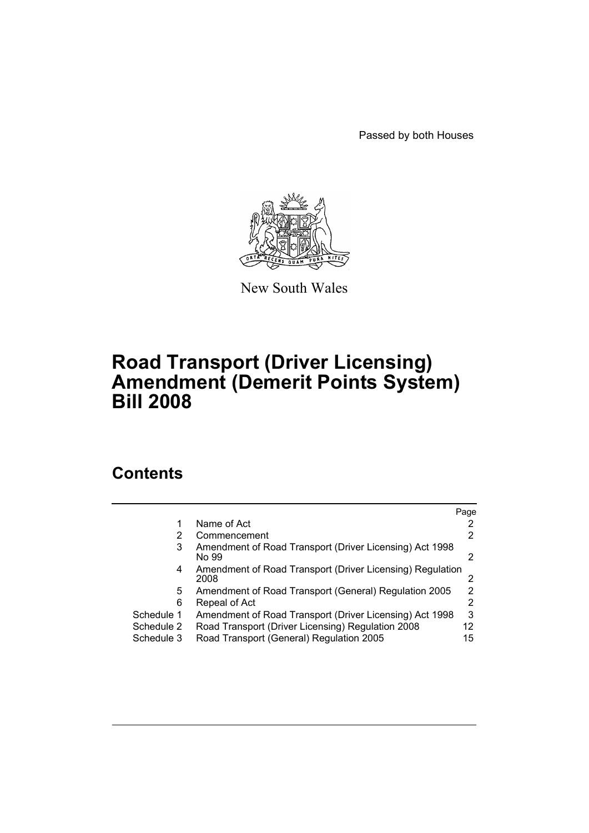Passed by both Houses



New South Wales

# **Road Transport (Driver Licensing) Amendment (Demerit Points System) Bill 2008**

# **Contents**

|            |                                                                   | Page |
|------------|-------------------------------------------------------------------|------|
|            | Name of Act                                                       |      |
| 2          | Commencement                                                      | 2    |
| 3          | Amendment of Road Transport (Driver Licensing) Act 1998<br>No 99  | 2    |
| 4          | Amendment of Road Transport (Driver Licensing) Regulation<br>2008 |      |
| 5.         | Amendment of Road Transport (General) Regulation 2005             | 2    |
| 6          | Repeal of Act                                                     | 2    |
| Schedule 1 | Amendment of Road Transport (Driver Licensing) Act 1998           | 3    |
| Schedule 2 | Road Transport (Driver Licensing) Regulation 2008                 | 12   |
| Schedule 3 | Road Transport (General) Regulation 2005                          | 15   |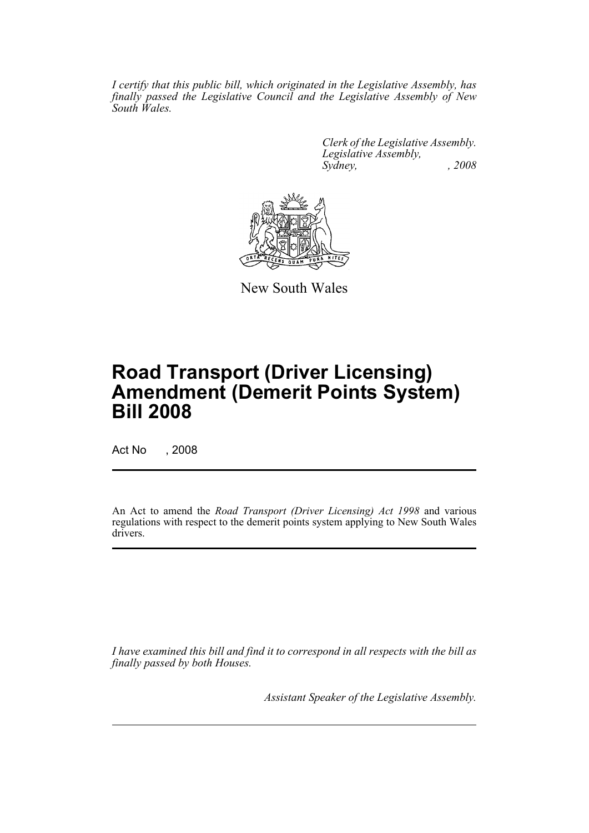*I certify that this public bill, which originated in the Legislative Assembly, has finally passed the Legislative Council and the Legislative Assembly of New South Wales.*

> *Clerk of the Legislative Assembly. Legislative Assembly, Sydney, , 2008*



New South Wales

# **Road Transport (Driver Licensing) Amendment (Demerit Points System) Bill 2008**

Act No , 2008

An Act to amend the *Road Transport (Driver Licensing) Act 1998* and various regulations with respect to the demerit points system applying to New South Wales drivers.

*I have examined this bill and find it to correspond in all respects with the bill as finally passed by both Houses.*

*Assistant Speaker of the Legislative Assembly.*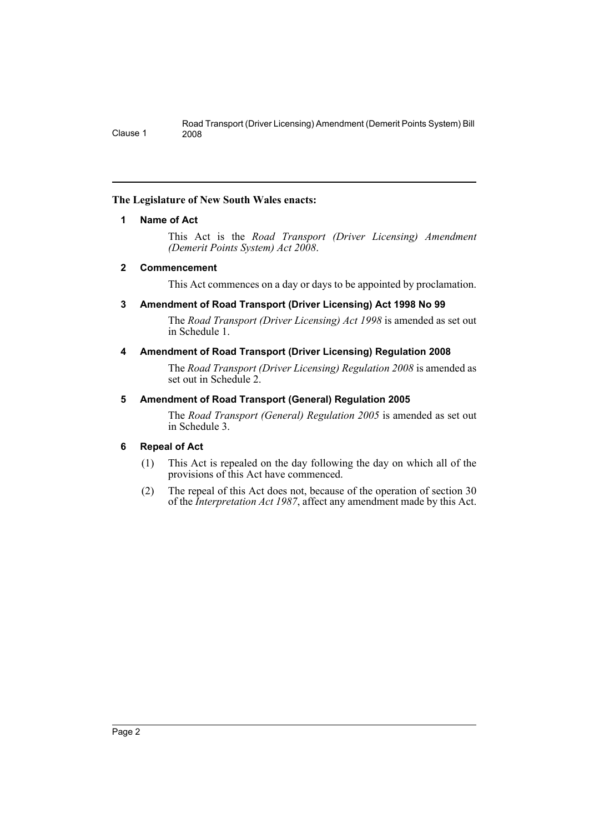## <span id="page-2-0"></span>**The Legislature of New South Wales enacts:**

## **1 Name of Act**

This Act is the *Road Transport (Driver Licensing) Amendment (Demerit Points System) Act 2008*.

## <span id="page-2-1"></span>**2 Commencement**

This Act commences on a day or days to be appointed by proclamation.

## <span id="page-2-2"></span>**3 Amendment of Road Transport (Driver Licensing) Act 1998 No 99**

The *Road Transport (Driver Licensing) Act 1998* is amended as set out in Schedule 1.

## <span id="page-2-3"></span>**4 Amendment of Road Transport (Driver Licensing) Regulation 2008**

The *Road Transport (Driver Licensing) Regulation 2008* is amended as set out in Schedule 2.

## <span id="page-2-4"></span>**5 Amendment of Road Transport (General) Regulation 2005**

The *Road Transport (General) Regulation 2005* is amended as set out in Schedule 3.

## <span id="page-2-5"></span>**6 Repeal of Act**

- (1) This Act is repealed on the day following the day on which all of the provisions of this Act have commenced.
- (2) The repeal of this Act does not, because of the operation of section 30 of the *Interpretation Act 1987*, affect any amendment made by this Act.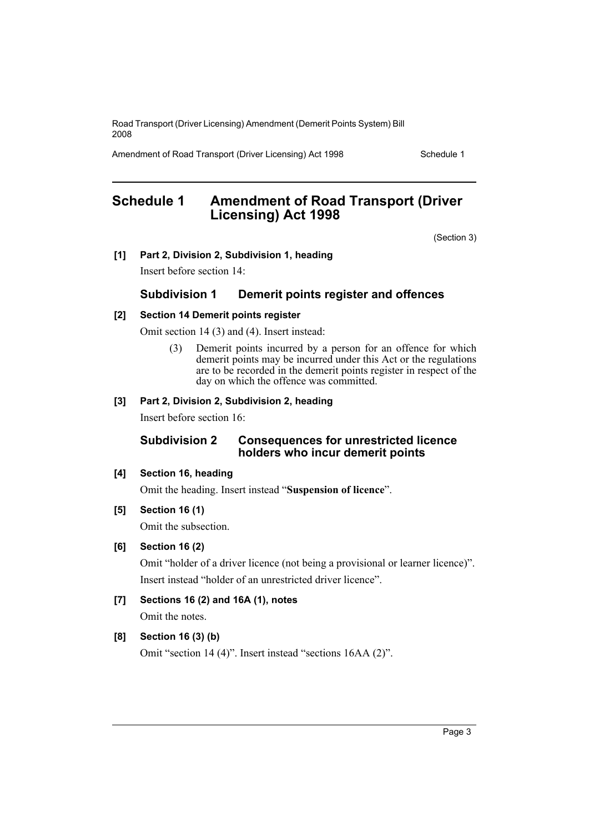Amendment of Road Transport (Driver Licensing) Act 1998 Schedule 1

# <span id="page-3-0"></span>**Schedule 1 Amendment of Road Transport (Driver Licensing) Act 1998**

(Section 3)

**[1] Part 2, Division 2, Subdivision 1, heading**

Insert before section 14:

## **Subdivision 1 Demerit points register and offences**

## **[2] Section 14 Demerit points register**

Omit section 14 (3) and (4). Insert instead:

(3) Demerit points incurred by a person for an offence for which demerit points may be incurred under this Act or the regulations are to be recorded in the demerit points register in respect of the day on which the offence was committed.

## **[3] Part 2, Division 2, Subdivision 2, heading**

Insert before section 16:

## **Subdivision 2 Consequences for unrestricted licence holders who incur demerit points**

## **[4] Section 16, heading**

Omit the heading. Insert instead "**Suspension of licence**".

**[5] Section 16 (1)**

Omit the subsection.

**[6] Section 16 (2)**

Omit "holder of a driver licence (not being a provisional or learner licence)". Insert instead "holder of an unrestricted driver licence".

**[7] Sections 16 (2) and 16A (1), notes**

Omit the notes.

## **[8] Section 16 (3) (b)**

Omit "section 14 (4)". Insert instead "sections 16AA (2)".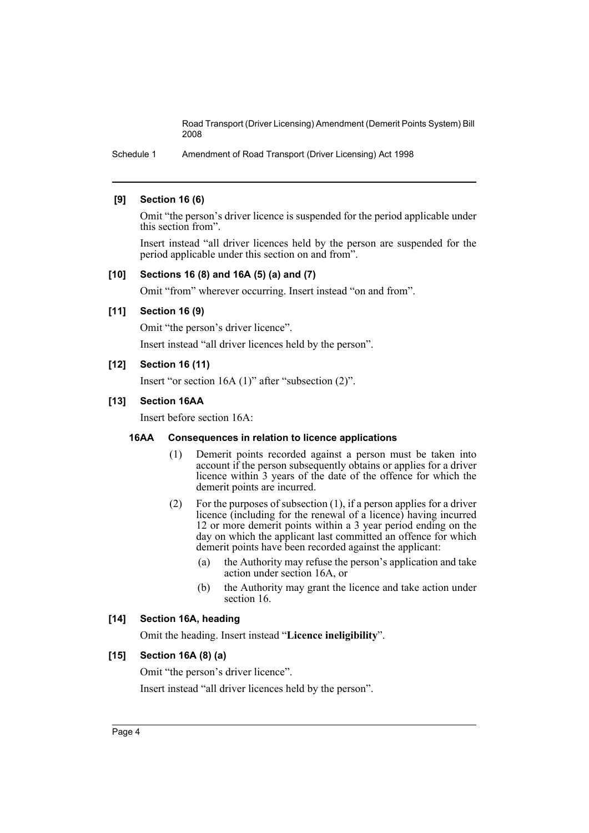Schedule 1 Amendment of Road Transport (Driver Licensing) Act 1998

## **[9] Section 16 (6)**

Omit "the person's driver licence is suspended for the period applicable under this section from".

Insert instead "all driver licences held by the person are suspended for the period applicable under this section on and from".

## **[10] Sections 16 (8) and 16A (5) (a) and (7)**

Omit "from" wherever occurring. Insert instead "on and from".

## **[11] Section 16 (9)**

Omit "the person's driver licence".

Insert instead "all driver licences held by the person".

## **[12] Section 16 (11)**

Insert "or section 16A (1)" after "subsection (2)".

## **[13] Section 16AA**

Insert before section 16A:

## **16AA Consequences in relation to licence applications**

- (1) Demerit points recorded against a person must be taken into account if the person subsequently obtains or applies for a driver licence within 3 years of the date of the offence for which the demerit points are incurred.
- (2) For the purposes of subsection (1), if a person applies for a driver licence (including for the renewal of a licence) having incurred 12 or more demerit points within a 3 year period ending on the day on which the applicant last committed an offence for which demerit points have been recorded against the applicant:
	- (a) the Authority may refuse the person's application and take action under section 16A, or
	- (b) the Authority may grant the licence and take action under section 16.

#### **[14] Section 16A, heading**

Omit the heading. Insert instead "**Licence ineligibility**".

#### **[15] Section 16A (8) (a)**

Omit "the person's driver licence". Insert instead "all driver licences held by the person".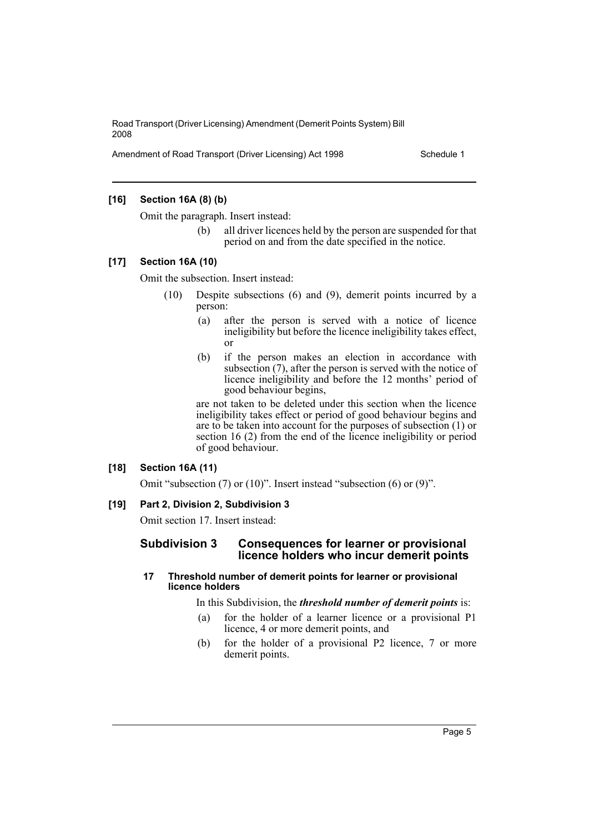Amendment of Road Transport (Driver Licensing) Act 1998 Schedule 1

## **[16] Section 16A (8) (b)**

Omit the paragraph. Insert instead:

(b) all driver licences held by the person are suspended for that period on and from the date specified in the notice.

## **[17] Section 16A (10)**

Omit the subsection. Insert instead:

- (10) Despite subsections (6) and (9), demerit points incurred by a person:
	- (a) after the person is served with a notice of licence ineligibility but before the licence ineligibility takes effect, or
	- (b) if the person makes an election in accordance with subsection (7), after the person is served with the notice of licence ineligibility and before the 12 months' period of good behaviour begins,

are not taken to be deleted under this section when the licence ineligibility takes effect or period of good behaviour begins and are to be taken into account for the purposes of subsection (1) or section 16 (2) from the end of the licence ineligibility or period of good behaviour.

## **[18] Section 16A (11)**

Omit "subsection (7) or (10)". Insert instead "subsection (6) or (9)".

## **[19] Part 2, Division 2, Subdivision 3**

Omit section 17. Insert instead:

## **Subdivision 3 Consequences for learner or provisional licence holders who incur demerit points**

## **17 Threshold number of demerit points for learner or provisional licence holders**

In this Subdivision, the *threshold number of demerit points* is:

- (a) for the holder of a learner licence or a provisional P1 licence, 4 or more demerit points, and
- (b) for the holder of a provisional P2 licence, 7 or more demerit points.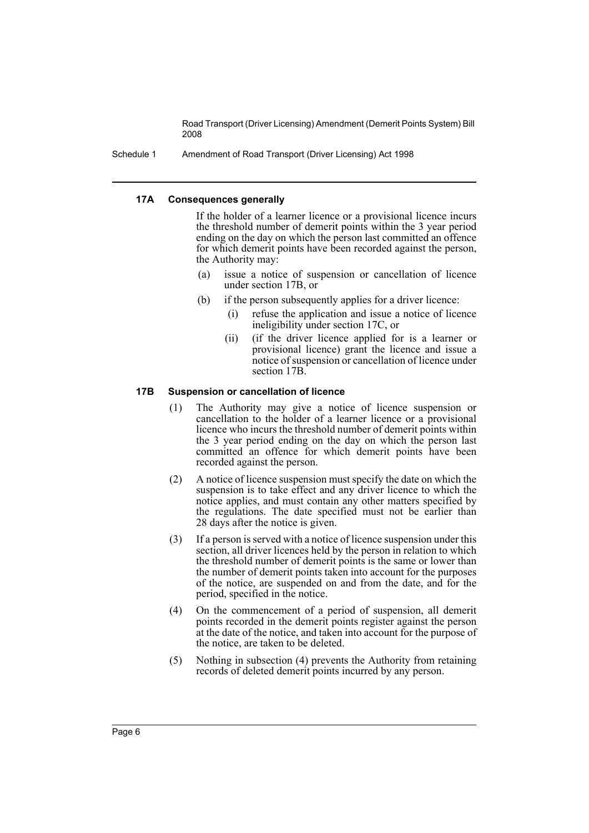Schedule 1 Amendment of Road Transport (Driver Licensing) Act 1998

#### **17A Consequences generally**

If the holder of a learner licence or a provisional licence incurs the threshold number of demerit points within the 3 year period ending on the day on which the person last committed an offence for which demerit points have been recorded against the person, the Authority may:

- (a) issue a notice of suspension or cancellation of licence under section 17B, or
- (b) if the person subsequently applies for a driver licence:
	- (i) refuse the application and issue a notice of licence ineligibility under section 17C, or
	- (ii) (if the driver licence applied for is a learner or provisional licence) grant the licence and issue a notice of suspension or cancellation of licence under section 17B.

#### **17B Suspension or cancellation of licence**

- (1) The Authority may give a notice of licence suspension or cancellation to the holder of a learner licence or a provisional licence who incurs the threshold number of demerit points within the 3 year period ending on the day on which the person last committed an offence for which demerit points have been recorded against the person.
- (2) A notice of licence suspension must specify the date on which the suspension is to take effect and any driver licence to which the notice applies, and must contain any other matters specified by the regulations. The date specified must not be earlier than 28 days after the notice is given.
- (3) If a person is served with a notice of licence suspension under this section, all driver licences held by the person in relation to which the threshold number of demerit points is the same or lower than the number of demerit points taken into account for the purposes of the notice, are suspended on and from the date, and for the period, specified in the notice.
- (4) On the commencement of a period of suspension, all demerit points recorded in the demerit points register against the person at the date of the notice, and taken into account for the purpose of the notice, are taken to be deleted.
- (5) Nothing in subsection (4) prevents the Authority from retaining records of deleted demerit points incurred by any person.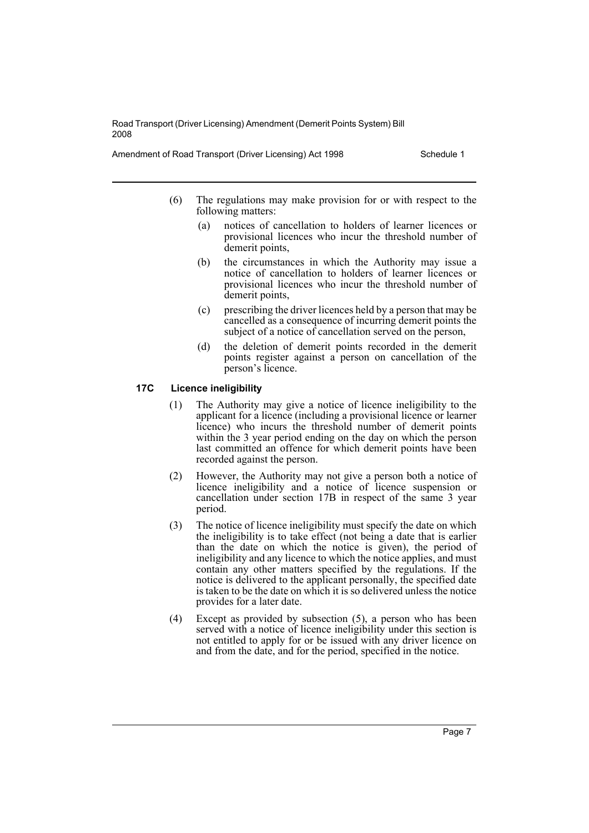Amendment of Road Transport (Driver Licensing) Act 1998 Schedule 1

- (6) The regulations may make provision for or with respect to the following matters:
	- (a) notices of cancellation to holders of learner licences or provisional licences who incur the threshold number of demerit points,
	- (b) the circumstances in which the Authority may issue a notice of cancellation to holders of learner licences or provisional licences who incur the threshold number of demerit points,
	- (c) prescribing the driver licences held by a person that may be cancelled as a consequence of incurring demerit points the subject of a notice of cancellation served on the person,
	- (d) the deletion of demerit points recorded in the demerit points register against a person on cancellation of the person's licence.

## **17C Licence ineligibility**

- (1) The Authority may give a notice of licence ineligibility to the applicant for a licence (including a provisional licence or learner licence) who incurs the threshold number of demerit points within the 3 year period ending on the day on which the person last committed an offence for which demerit points have been recorded against the person.
- (2) However, the Authority may not give a person both a notice of licence ineligibility and a notice of licence suspension or cancellation under section 17B in respect of the same 3 year period.
- (3) The notice of licence ineligibility must specify the date on which the ineligibility is to take effect (not being a date that is earlier than the date on which the notice is given), the period of ineligibility and any licence to which the notice applies, and must contain any other matters specified by the regulations. If the notice is delivered to the applicant personally, the specified date is taken to be the date on which it is so delivered unless the notice provides for a later date.
- (4) Except as provided by subsection (5), a person who has been served with a notice of licence ineligibility under this section is not entitled to apply for or be issued with any driver licence on and from the date, and for the period, specified in the notice.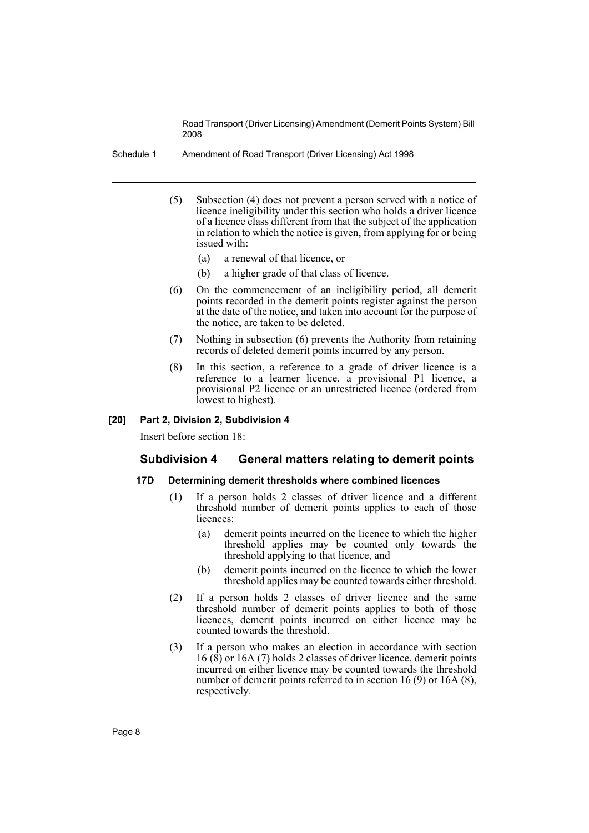Schedule 1 Amendment of Road Transport (Driver Licensing) Act 1998

- (5) Subsection (4) does not prevent a person served with a notice of licence ineligibility under this section who holds a driver licence of a licence class different from that the subject of the application in relation to which the notice is given, from applying for or being issued with:
	- (a) a renewal of that licence, or
	- (b) a higher grade of that class of licence.
- (6) On the commencement of an ineligibility period, all demerit points recorded in the demerit points register against the person at the date of the notice, and taken into account for the purpose of the notice, are taken to be deleted.
- (7) Nothing in subsection (6) prevents the Authority from retaining records of deleted demerit points incurred by any person.
- (8) In this section, a reference to a grade of driver licence is a reference to a learner licence, a provisional P1 licence, a provisional P2 licence or an unrestricted licence (ordered from lowest to highest).

#### **[20] Part 2, Division 2, Subdivision 4**

Insert before section 18:

## **Subdivision 4 General matters relating to demerit points**

#### **17D Determining demerit thresholds where combined licences**

- (1) If a person holds 2 classes of driver licence and a different threshold number of demerit points applies to each of those licences:
	- (a) demerit points incurred on the licence to which the higher threshold applies may be counted only towards the threshold applying to that licence, and
	- (b) demerit points incurred on the licence to which the lower threshold applies may be counted towards either threshold.
- (2) If a person holds 2 classes of driver licence and the same threshold number of demerit points applies to both of those licences, demerit points incurred on either licence may be counted towards the threshold.
- (3) If a person who makes an election in accordance with section 16 (8) or 16A (7) holds 2 classes of driver licence, demerit points incurred on either licence may be counted towards the threshold number of demerit points referred to in section 16 (9) or 16A (8), respectively.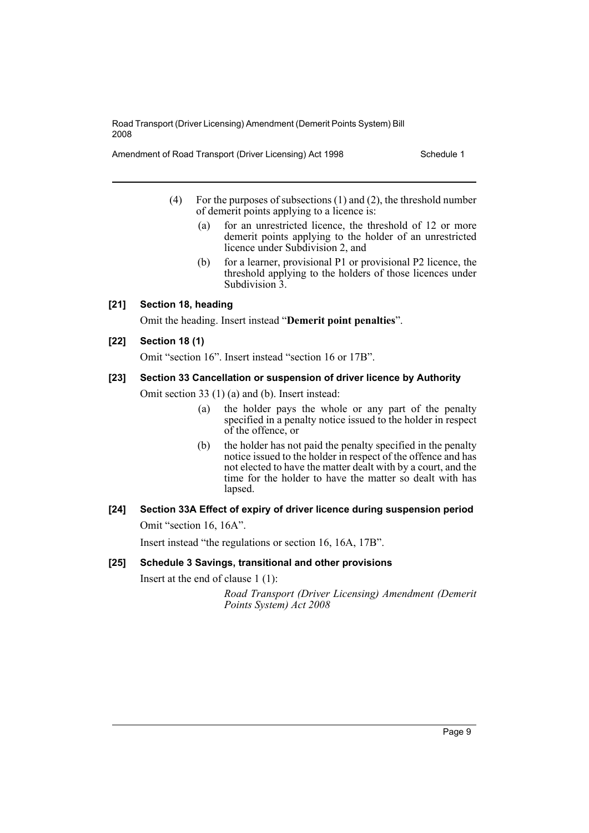Amendment of Road Transport (Driver Licensing) Act 1998 Schedule 1

- (4) For the purposes of subsections (1) and (2), the threshold number of demerit points applying to a licence is:
	- (a) for an unrestricted licence, the threshold of 12 or more demerit points applying to the holder of an unrestricted licence under Subdivision 2, and
	- (b) for a learner, provisional P1 or provisional P2 licence, the threshold applying to the holders of those licences under Subdivision 3.

## **[21] Section 18, heading**

Omit the heading. Insert instead "**Demerit point penalties**".

## **[22] Section 18 (1)**

Omit "section 16". Insert instead "section 16 or 17B".

#### **[23] Section 33 Cancellation or suspension of driver licence by Authority**

Omit section 33 (1) (a) and (b). Insert instead:

- (a) the holder pays the whole or any part of the penalty specified in a penalty notice issued to the holder in respect of the offence, or
- (b) the holder has not paid the penalty specified in the penalty notice issued to the holder in respect of the offence and has not elected to have the matter dealt with by a court, and the time for the holder to have the matter so dealt with has lapsed.

## **[24] Section 33A Effect of expiry of driver licence during suspension period** Omit "section 16, 16A".

Insert instead "the regulations or section 16, 16A, 17B".

#### **[25] Schedule 3 Savings, transitional and other provisions**

Insert at the end of clause 1 (1):

*Road Transport (Driver Licensing) Amendment (Demerit Points System) Act 2008*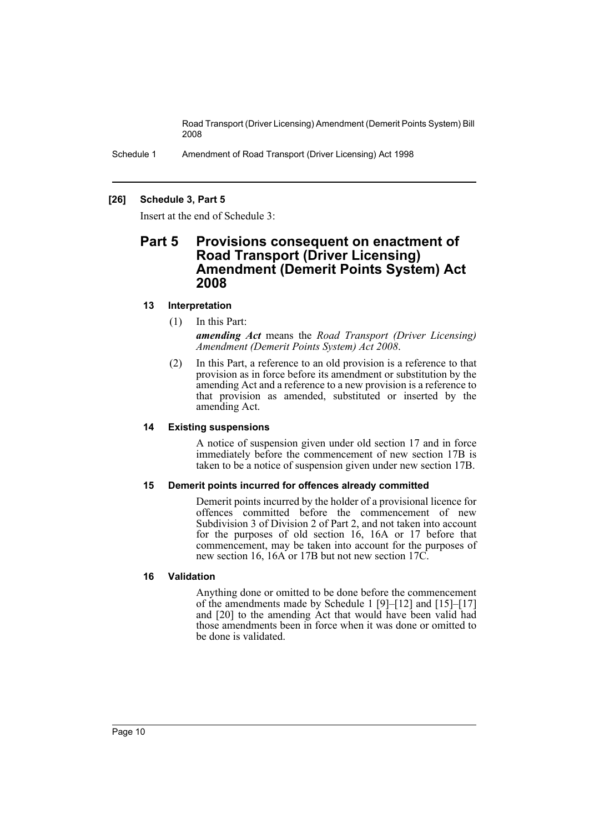Schedule 1 Amendment of Road Transport (Driver Licensing) Act 1998

## **[26] Schedule 3, Part 5**

Insert at the end of Schedule 3:

## **Part 5 Provisions consequent on enactment of Road Transport (Driver Licensing) Amendment (Demerit Points System) Act 2008**

## **13 Interpretation**

- (1) In this Part: *amending Act* means the *Road Transport (Driver Licensing) Amendment (Demerit Points System) Act 2008*.
- (2) In this Part, a reference to an old provision is a reference to that provision as in force before its amendment or substitution by the amending Act and a reference to a new provision is a reference to that provision as amended, substituted or inserted by the amending Act.

## **14 Existing suspensions**

A notice of suspension given under old section 17 and in force immediately before the commencement of new section 17B is taken to be a notice of suspension given under new section 17B.

## **15 Demerit points incurred for offences already committed**

Demerit points incurred by the holder of a provisional licence for offences committed before the commencement of new Subdivision 3 of Division 2 of Part 2, and not taken into account for the purposes of old section 16, 16A or 17 before that commencement, may be taken into account for the purposes of new section 16, 16A or 17B but not new section 17C.

## **16 Validation**

Anything done or omitted to be done before the commencement of the amendments made by Schedule 1 [9]–[12] and [15]–[17] and [20] to the amending Act that would have been valid had those amendments been in force when it was done or omitted to be done is validated.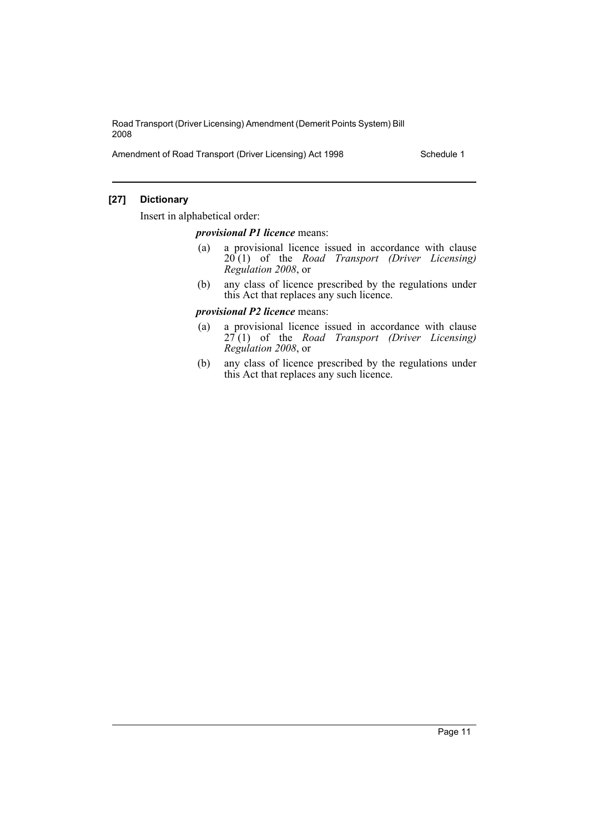Amendment of Road Transport (Driver Licensing) Act 1998 Schedule 1

## **[27] Dictionary**

Insert in alphabetical order:

## *provisional P1 licence* means:

- (a) a provisional licence issued in accordance with clause 20 (1) of the *Road Transport (Driver Licensing) Regulation 2008*, or
- (b) any class of licence prescribed by the regulations under this Act that replaces any such licence.

## *provisional P2 licence* means:

- (a) a provisional licence issued in accordance with clause 27 (1) of the *Road Transport (Driver Licensing) Regulation 2008*, or
- (b) any class of licence prescribed by the regulations under this Act that replaces any such licence.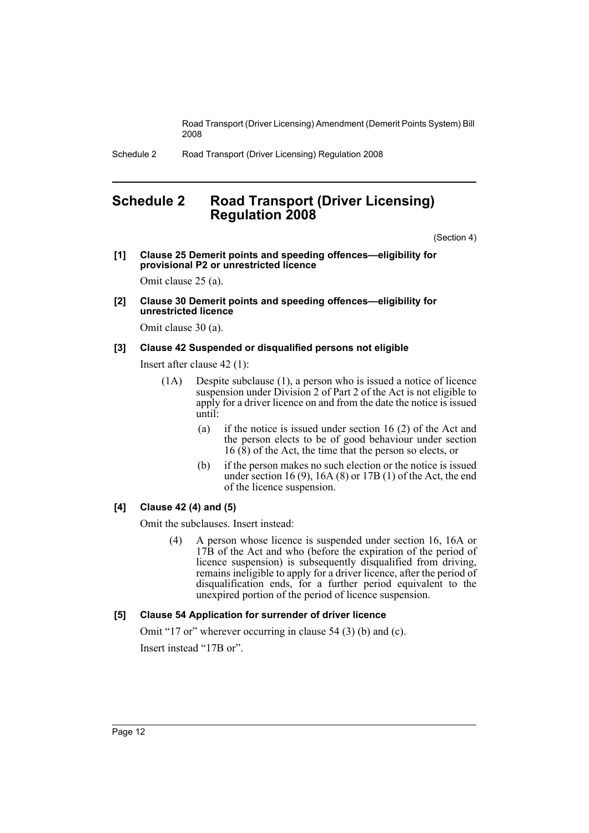Schedule 2 Road Transport (Driver Licensing) Regulation 2008

## <span id="page-12-0"></span>**Schedule 2 Road Transport (Driver Licensing) Regulation 2008**

(Section 4)

**[1] Clause 25 Demerit points and speeding offences—eligibility for provisional P2 or unrestricted licence**

Omit clause 25 (a).

**[2] Clause 30 Demerit points and speeding offences—eligibility for unrestricted licence**

Omit clause 30 (a).

#### **[3] Clause 42 Suspended or disqualified persons not eligible**

Insert after clause 42 (1):

- (1A) Despite subclause (1), a person who is issued a notice of licence suspension under Division 2 of Part 2 of the Act is not eligible to apply for a driver licence on and from the date the notice is issued until:
	- (a) if the notice is issued under section 16 (2) of the Act and the person elects to be of good behaviour under section  $16$  ( $\hat{8}$ ) of the Act, the time that the person so elects, or
	- (b) if the person makes no such election or the notice is issued under section 16 (9), 16A (8) or 17B (1) of the Act, the end of the licence suspension.

## **[4] Clause 42 (4) and (5)**

Omit the subclauses. Insert instead:

(4) A person whose licence is suspended under section 16, 16A or 17B of the Act and who (before the expiration of the period of licence suspension) is subsequently disqualified from driving, remains ineligible to apply for a driver licence, after the period of disqualification ends, for a further period equivalent to the unexpired portion of the period of licence suspension.

## **[5] Clause 54 Application for surrender of driver licence**

Omit "17 or" wherever occurring in clause 54 (3) (b) and (c). Insert instead "17B or".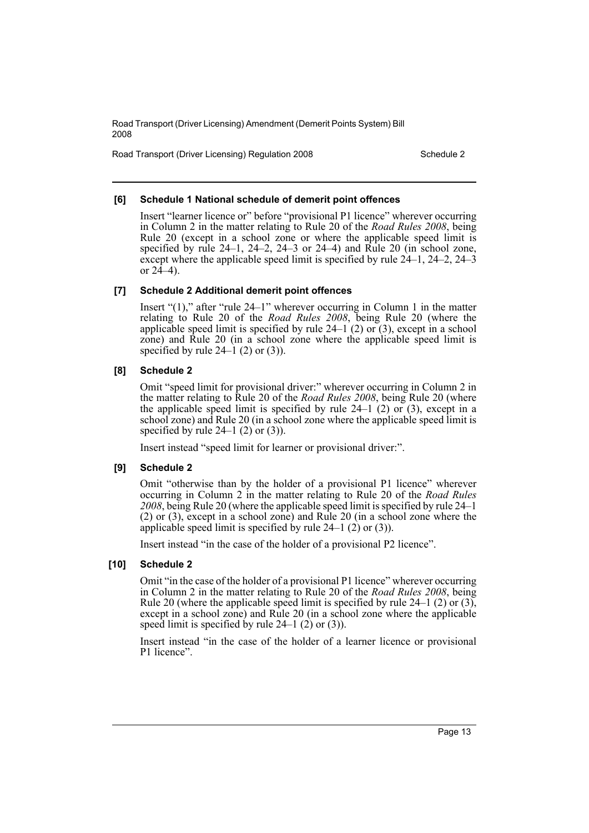Road Transport (Driver Licensing) Regulation 2008 Schedule 2

## **[6] Schedule 1 National schedule of demerit point offences**

Insert "learner licence or" before "provisional P1 licence" wherever occurring in Column 2 in the matter relating to Rule 20 of the *Road Rules 2008*, being Rule 20 (except in a school zone or where the applicable speed limit is specified by rule  $24-1$ ,  $24-2$ ,  $24-3$  or  $24-4$ ) and Rule  $20$  (in school zone, except where the applicable speed limit is specified by rule 24–1, 24–2, 24–3 or  $24-4$ ).

## **[7] Schedule 2 Additional demerit point offences**

Insert "(1)," after "rule 24–1" wherever occurring in Column 1 in the matter relating to Rule 20 of the *Road Rules 2008*, being Rule 20 (where the applicable speed limit is specified by rule  $24-1$  (2) or (3), except in a school zone) and Rule 20 (in a school zone where the applicable speed limit is specified by rule  $24-1$  (2) or (3)).

## **[8] Schedule 2**

Omit "speed limit for provisional driver:" wherever occurring in Column 2 in the matter relating to Rule 20 of the *Road Rules 2008*, being Rule 20 (where the applicable speed limit is specified by rule  $24-1$  (2) or (3), except in a school zone) and Rule 20 (in a school zone where the applicable speed limit is specified by rule  $24-1$  (2) or (3)).

Insert instead "speed limit for learner or provisional driver:".

## **[9] Schedule 2**

Omit "otherwise than by the holder of a provisional P1 licence" wherever occurring in Column 2 in the matter relating to Rule 20 of the *Road Rules 2008*, being Rule 20 (where the applicable speed limit is specified by rule 24–1 (2) or (3), except in a school zone) and Rule 20 (in a school zone where the applicable speed limit is specified by rule  $24-1$  (2) or (3)).

Insert instead "in the case of the holder of a provisional P2 licence".

## **[10] Schedule 2**

Omit "in the case of the holder of a provisional P1 licence" wherever occurring in Column 2 in the matter relating to Rule 20 of the *Road Rules 2008*, being Rule 20 (where the applicable speed limit is specified by rule  $24-1$  (2) or (3), except in a school zone) and Rule 20 (in a school zone where the applicable speed limit is specified by rule  $24-1$  (2) or (3)).

Insert instead "in the case of the holder of a learner licence or provisional P1 licence".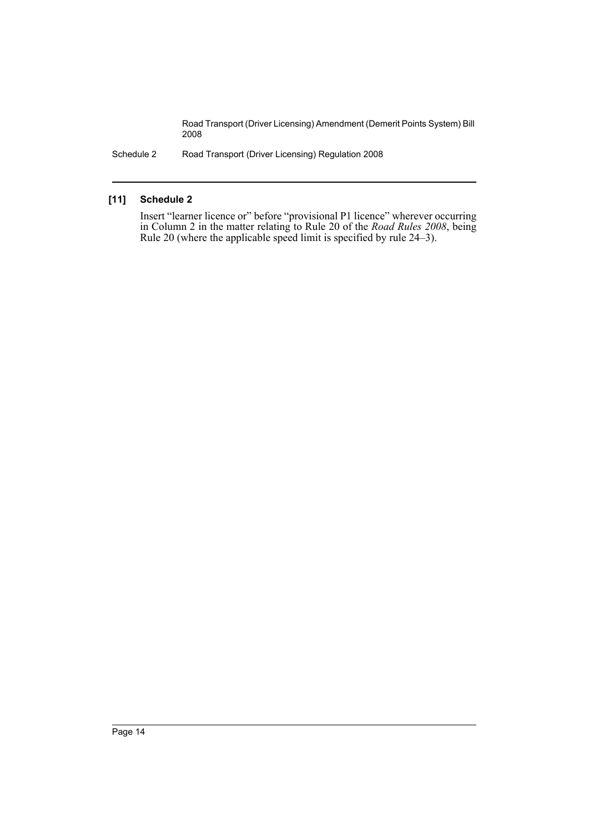Schedule 2 Road Transport (Driver Licensing) Regulation 2008

## **[11] Schedule 2**

Insert "learner licence or" before "provisional P1 licence" wherever occurring in Column 2 in the matter relating to Rule 20 of the *Road Rules 2008*, being Rule 20 (where the applicable speed limit is specified by rule 24–3).